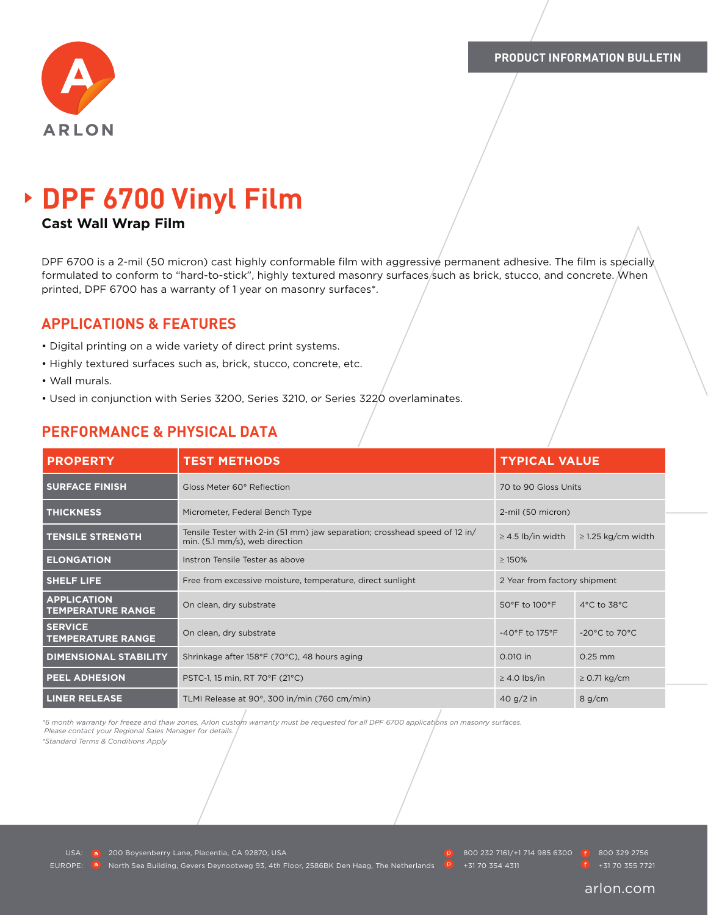

# **DPF 6700 Vinyl Film**

## **Cast Wall Wrap Film**

DPF 6700 is a 2-mil (50 micron) cast highly conformable film with aggressive permanent adhesive. The film is specially formulated to conform to "hard-to-stick", highly textured masonry surfaces/such as brick, stucco, and concrete. When printed, DPF 6700 has a warranty of 1 year on masonry surfaces\*.

# **APPLICATIONS & FEATURES**

- Digital printing on a wide variety of direct print systems.
- Highly textured surfaces such as, brick, stucco, concrete, etc.
- Wall murals.
- Used in conjunction with Series 3200, Series 3210, or Series 3220 overlaminates.

| <b>PROPERTY</b>                                | <b>TEST METHODS</b>                                                                                          | <b>TYPICAL VALUE</b>                |                                   |
|------------------------------------------------|--------------------------------------------------------------------------------------------------------------|-------------------------------------|-----------------------------------|
| <b>SURFACE FINISH</b>                          | Gloss Meter 60° Reflection                                                                                   | 70 to 90 Gloss Units                |                                   |
| <b>THICKNESS</b>                               | Micrometer, Federal Bench Type                                                                               | 2-mil (50 micron)                   |                                   |
| <b>TENSILE STRENGTH</b>                        | Tensile Tester with 2-in (51 mm) jaw separation; crosshead speed of 12 in/<br>min. (5.1 mm/s), web direction | $\geq$ 4.5 lb/in width              | $\geq$ 1.25 kg/cm width           |
| <b>ELONGATION</b>                              | Instron Tensile Tester as above                                                                              | $\geq$ 150%                         |                                   |
| <b>SHELF LIFE</b>                              | Free from excessive moisture, temperature, direct sunlight                                                   | 2 Year from factory shipment        |                                   |
| <b>APPLICATION</b><br><b>TEMPERATURE RANGE</b> | On clean, dry substrate                                                                                      | 50°F to 100°F                       | $4^{\circ}$ C to 38 $^{\circ}$ C  |
| <b>SERVICE</b><br><b>TEMPERATURE RANGE</b>     | On clean, dry substrate                                                                                      | $-40^{\circ}$ F to 175 $^{\circ}$ F | $-20^{\circ}$ C to $70^{\circ}$ C |
| <b>DIMENSIONAL STABILITY</b>                   | Shrinkage after 158°F (70°C), 48 hours aging                                                                 | 0.010 in                            | $0.25$ mm                         |
| <b>PEEL ADHESION</b>                           | PSTC-1, 15 min, RT 70°F (21°C)                                                                               | $\geq$ 4.0 lbs/in                   | $\geq$ 0.71 kg/cm                 |
| <b>LINER RELEASE</b>                           | TLMI Release at 90°, 300 in/min (760 cm/min)                                                                 | 40 g/2 in                           | 8 g/cm                            |

# **PERFORMANCE & PHYSICAL DATA**

*\*6 month warranty for freeze and thaw zones, Arlon custom warranty must be requested for all DPF 6700 applications on masonry surfaces. Please contact your Regional Sales Manager for details.* 

*\*Standard Terms & Conditions Apply*

USA: **200 Boysenberry Lane, Placentia, CA 92870, USA** 800 200 800 232 7161/+1 714 985 6300 800 329 2756 EUROPE: <sup>a</sup> North Sea Building, Gevers Deynootweg 93, 4th Floor, 2586BK Den Haag, The Netherlands **P** +31 70 354 4311 +31 70 355 7721

#### arlon.com